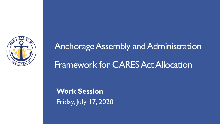

# Anchorage Assembly and Administration Framework for CARES Act Allocation

**Work Session** Friday, July 17, 2020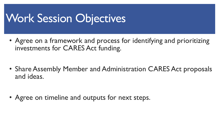#### Work Session Objectives

• Agree on a framework and process for identifying and prioritizing investments for CARES Act funding.

• Share Assembly Member and Administration CARES Act proposals and ideas.

• Agree on timeline and outputs for next steps.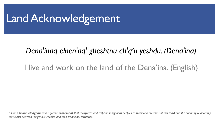### Land Acknowledgement

# *Dena'inaq ełnen'aq' gheshtnu ch'q'u yeshdu. (Dena'ina)* I live and work on the land of the Dena'ina. (English)

*A Land Acknowledgement is a formal statement that recognizes and respects Indigenous Peoples as traditional stewards of this land and the enduring relationship that exists between Indigenous Peoples and their traditional territories.*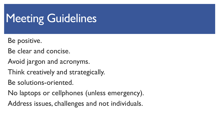## Meeting Guidelines

- Be positive.
- Be clear and concise.
- Avoid jargon and acronyms.
- Think creatively and strategically.
- Be solutions-oriented.
- No laptops or cellphones (unless emergency).
- Address issues, challenges and not individuals.